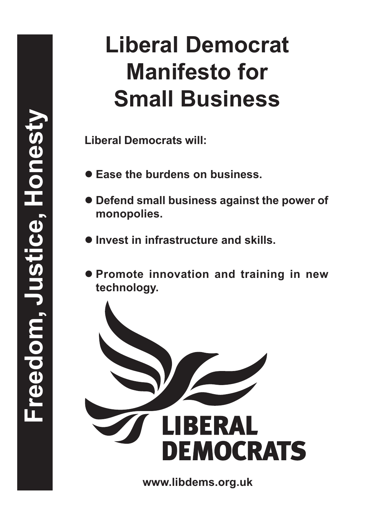**Liberal Democrats will:**

- Ease the burdens on business.
- $\bullet$  **Defend small business against the power of monopolies.**
- $\bullet$  **Invest in infrastructure and skills.**
- **Promote innovation and training in new technology.**

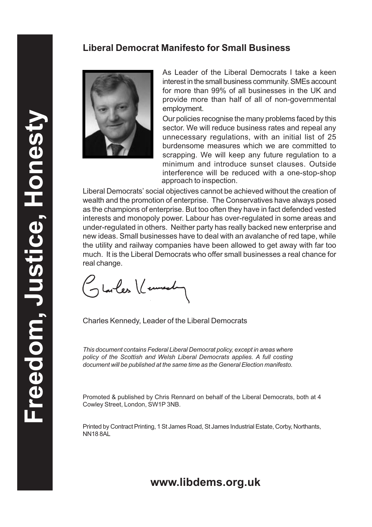

As Leader of the Liberal Democrats I take a keen interest in the small business community. SMEs account for more than 99% of all businesses in the UK and provide more than half of all of non-governmental employment.

Our policies recognise the many problems faced by this sector. We will reduce business rates and repeal any unnecessary regulations, with an initial list of 25 burdensome measures which we are committed to scrapping. We will keep any future regulation to a minimum and introduce sunset clauses. Outside interference will be reduced with a one-stop-shop approach to inspection.

Liberal Democrats' social objectives cannot be achieved without the creation of wealth and the promotion of enterprise. The Conservatives have always posed as the champions of enterprise. But too often they have in fact defended vested interests and monopoly power. Labour has over-regulated in some areas and under-regulated in others. Neither party has really backed new enterprise and new ideas. Small businesses have to deal with an avalanche of red tape, while the utility and railway companies have been allowed to get away with far too much. It is the Liberal Democrats who offer small businesses a real chance for real change.

Glarles (Cenneda

Charles Kennedy, Leader of the Liberal Democrats

This document contains Federal Liberal Democrat policy, except in areas where policy of the Scottish and Welsh Liberal Democrats applies. A full costing document will be published at the same time as the General Election manifesto.

Promoted & published by Chris Rennard on behalf of the Liberal Democrats, both at 4 Cowley Street, London, SW1P 3NB.

Printed by Contract Printing, 1 St James Road, St James Industrial Estate, Corby, Northants, NN18 8AL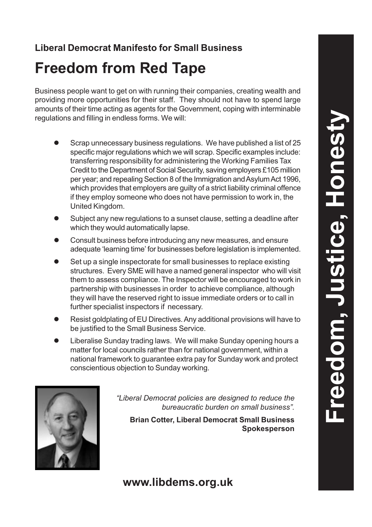# **Freedom from Red Tape**

Business people want to get on with running their companies, creating wealth and providing more opportunities for their staff. They should not have to spend large amounts of their time acting as agents for the Government, coping with interminable regulations and filling in endless forms. We will:

- Scrap unnecessary business regulations. We have published a list of 25 specific major regulations which we will scrap. Specific examples include: transferring responsibility for administering the Working Families Tax Credit to the Department of Social Security, saving employers £105 million per year; and repealing Section 8 of the Immigration and Asylum Act 1996, which provides that employers are guilty of a strict liability criminal offence if they employ someone who does not have permission to work in, the United Kingdom.
- Subject any new regulations to a sunset clause, setting a deadline after which they would automatically lapse.
- l Consult business before introducing any new measures, and ensure adequate 'learning time' for businesses before legislation is implemented.
- Set up a single inspectorate for small businesses to replace existing structures. Every SME will have a named general inspector who will visit them to assess compliance. The Inspector will be encouraged to work in partnership with businesses in order to achieve compliance, although they will have the reserved right to issue immediate orders or to call in further specialist inspectors if necessary.
- Resist goldplating of EU Directives. Any additional provisions will have to be justified to the Small Business Service.
- Liberalise Sunday trading laws. We will make Sunday opening hours a matter for local councils rather than for national government, within a national framework to guarantee extra pay for Sunday work and protect conscientious objection to Sunday working.



"Liberal Democrat policies are designed to reduce the bureaucratic burden on small business".

**Brian Cotter, Liberal Democrat Small Business Spokesperson**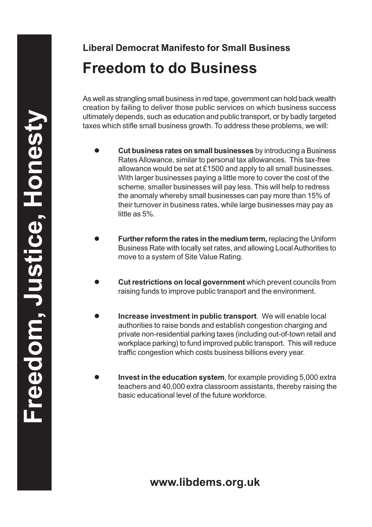# **Liberal Democrat Manifesto for Small Business Freedom to do Business**

As well as strangling small business in red tape, government can hold back wealth creation by failing to deliver those public services on which business success ultimately depends, such as education and public transport, or by badly targeted taxes which stifle small business growth. To address these problems, we will:

- l **Cut business rates on small businesses** by introducing a Business Rates Allowance, similar to personal tax allowances. This tax-free allowance would be set at £1500 and apply to all small businesses. With larger businesses paying a little more to cover the cost of the scheme, smaller businesses will pay less. This will help to redress the anomaly whereby small businesses can pay more than 15% of their turnover in business rates, while large businesses may pay as little as 5%.
- **Further reform the rates in the medium term, replacing the Uniform** Business Rate with locally set rates, and allowing Local Authorities to move to a system of Site Value Rating.
- **Cut restrictions on local government** which prevent councils from raising funds to improve public transport and the environment.
- **Increase investment in public transport**. We will enable local authorities to raise bonds and establish congestion charging and private non-residential parking taxes (including out-of-town retail and workplace parking) to fund improved public transport. This will reduce traffic congestion which costs business billions every year.
- **Invest in the education system**, for example providing 5,000 extra teachers and 40,000 extra classroom assistants, thereby raising the basic educational level of the future workforce.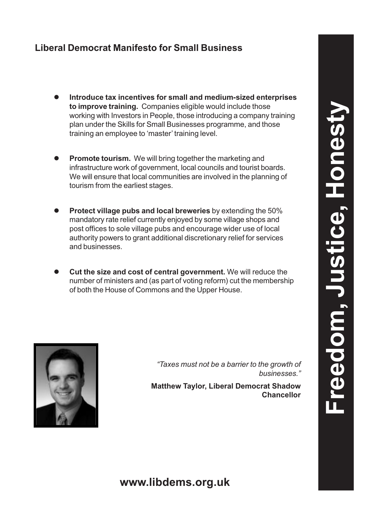- l **Introduce tax incentives for small and medium-sized enterprises to improve training.** Companies eligible would include those working with Investors in People, those introducing a company training plan under the Skills for Small Businesses programme, and those training an employee to 'master' training level.
- **Promote tourism.** We will bring together the marketing and infrastructure work of government, local councils and tourist boards. We will ensure that local communities are involved in the planning of tourism from the earliest stages.
- **Protect village pubs and local breweries** by extending the 50% mandatory rate relief currently enjoyed by some village shops and post offices to sole village pubs and encourage wider use of local authority powers to grant additional discretionary relief for services and businesses.
- **Cut the size and cost of central government.** We will reduce the number of ministers and (as part of voting reform) cut the membership of both the House of Commons and the Upper House.



"Taxes must not be a barrier to the growth of businesses."

**Matthew Taylor, Liberal Democrat Shadow Chancellor**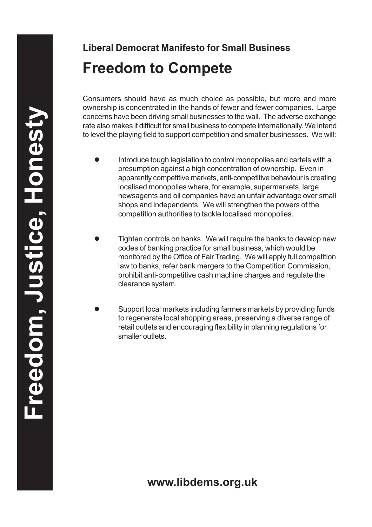# **Liberal Democrat Manifesto for Small Business Freedom to Compete**

Consumers should have as much choice as possible, but more and more ownership is concentrated in the hands of fewer and fewer companies. Large concerns have been driving small businesses to the wall. The adverse exchange rate also makes it difficult for small business to compete internationally. We intend to level the playing field to support competition and smaller businesses. We will:

- Introduce tough legislation to control monopolies and cartels with a presumption against a high concentration of ownership. Even in apparently competitive markets, anti-competitive behaviour is creating localised monopolies where, for example, supermarkets, large newsagents and oil companies have an unfair advantage over small shops and independents. We will strengthen the powers of the competition authorities to tackle localised monopolies.
- Tighten controls on banks. We will require the banks to develop new codes of banking practice for small business, which would be monitored by the Office of Fair Trading. We will apply full competition law to banks, refer bank mergers to the Competition Commission, prohibit anti-competitive cash machine charges and regulate the clearance system.
- Support local markets including farmers markets by providing funds to regenerate local shopping areas, preserving a diverse range of retail outlets and encouraging flexibility in planning regulations for smaller outlets.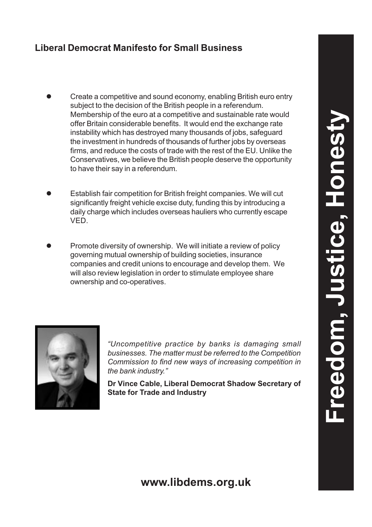- Create a competitive and sound economy, enabling British euro entry subject to the decision of the British people in a referendum. Membership of the euro at a competitive and sustainable rate would offer Britain considerable benefits. It would end the exchange rate instability which has destroyed many thousands of jobs, safeguard the investment in hundreds of thousands of further jobs by overseas firms, and reduce the costs of trade with the rest of the EU. Unlike the Conservatives, we believe the British people deserve the opportunity to have their say in a referendum.
- Establish fair competition for British freight companies. We will cut significantly freight vehicle excise duty, funding this by introducing a daily charge which includes overseas hauliers who currently escape VED.
- Promote diversity of ownership. We will initiate a review of policy governing mutual ownership of building societies, insurance companies and credit unions to encourage and develop them. We will also review legislation in order to stimulate employee share ownership and co-operatives.



"Uncompetitive practice by banks is damaging small businesses. The matter must be referred to the Competition Commission to find new ways of increasing competition in the bank industry."

**Dr Vince Cable, Liberal Democrat Shadow Secretary of State for Trade and Industry**